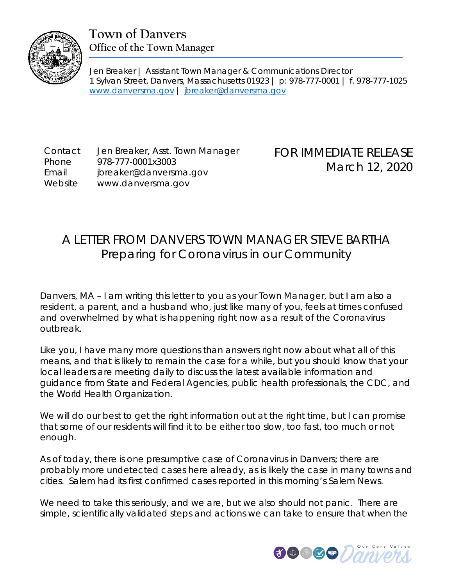

## **Town of Danvers Office of the Town Manager**

Jen Breaker | Assistant Town Manager & Communications Director 1 Sylvan Street, Danvers, Massachusetts 01923 | p: 978-777-0001 | f. 978-777-1025 [www.danversma.gov](http://www.danversma.gov/) | [jbreaker@danversma.gov](mailto:jbreaker@danversma.gov)

Contact Jen Breaker, Asst. Town Manager Phone 978-777-0001x3003 Email jbreaker@danversma.gov Website www.danversma.gov

FOR IMMEDIATE RELEASE March 12, 2020

## A LETTER FROM DANVERS TOWN MANAGER STEVE BARTHA Preparing for Coronavirus in our Community

Danvers, MA – I am writing this letter to you as your Town Manager, but I am also a resident, a parent, and a husband who, just like many of you, feels at times confused and overwhelmed by what is happening right now as a result of the Coronavirus outbreak.

Like you, I have many more questions than answers right now about what all of this means, and that is likely to remain the case for a while, but you should know that your local leaders are meeting daily to discuss the latest available information and guidance from State and Federal Agencies, public health professionals, the CDC, and the World Health Organization.

We will do our best to get the right information out at the right time, but I can promise that some of our residents will find it to be either too slow, too fast, too much or not enough.

As of today, there is one presumptive case of Coronavirus in Danvers; there are probably more undetected cases here already, as is likely the case in many towns and cities. Salem had its first confirmed cases reported in this morning's Salem News.

We need to take this seriously, and we are, but we also should not panic. There are simple, scientifically validated steps and actions we can take to ensure that when the

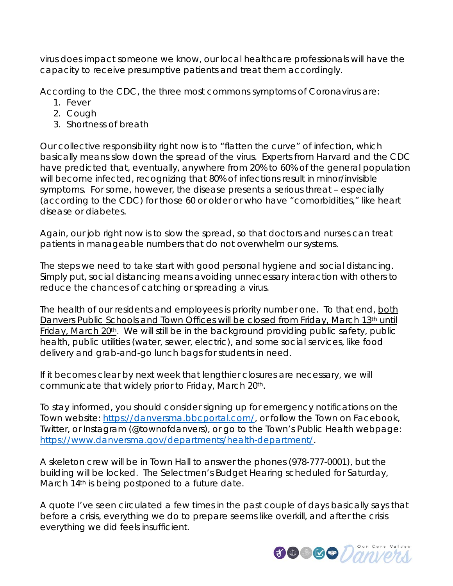virus does impact someone we know, our local healthcare professionals will have the capacity to receive presumptive patients and treat them accordingly.

According to the CDC, the three most commons symptoms of Coronavirus are:

- 1. Fever
- 2. Cough
- 3. Shortness of breath

Our collective responsibility right now is to "flatten the curve" of infection, which basically means slow down the spread of the virus. Experts from Harvard and the CDC have predicted that, eventually, anywhere from 20% to 60% of the general population will become infected, recognizing that 80% of infections result in minor/invisible symptoms. For some, however, the disease presents a serious threat – especially (according to the CDC) for those 60 or older or who have "comorbidities," like heart disease or diabetes.

Again, our job right now is to slow the spread, so that doctors and nurses can treat patients in manageable numbers that do not overwhelm our systems.

The steps we need to take start with good personal hygiene and social distancing. Simply put, social distancing means avoiding unnecessary interaction with others to reduce the chances of catching or spreading a virus.

The health of our residents and employees is priority number one. To that end, both Danvers Public Schools and Town Offices will be closed from Friday, March 13th until Friday, March 20<sup>th</sup>. We will still be in the background providing public safety, public health, public utilities (water, sewer, electric), and some social services, like food delivery and grab-and-go lunch bags for students in need.

If it becomes clear by next week that lengthier closures are necessary, we will communicate that widely prior to Friday, March 20th.

To stay informed, you should consider signing up for emergency notifications on the Town website: [https://danversma.bbcportal.com/,](https://danversma.bbcportal.com/) or follow the Town on Facebook, Twitter, or Instagram (@townofdanvers), or go to the Town's Public Health webpage: [https://www.danversma.gov/departments/health-department/.](https://www.danversma.gov/departments/health-department/)

A skeleton crew will be in Town Hall to answer the phones (978-777-0001), but the building will be locked. The Selectmen's Budget Hearing scheduled for Saturday, March 14<sup>th</sup> is being postponed to a future date.

A quote I've seen circulated a few times in the past couple of days basically says that before a crisis, everything we do to prepare seems like overkill, and after the crisis everything we did feels insufficient.